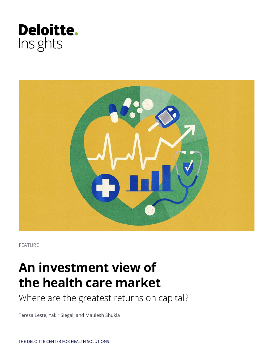



FEATURE

# **An investment view of the health care market**

Where are the greatest returns on capital?

Teresa Leste, Yakir Siegal, and Maulesh Shukla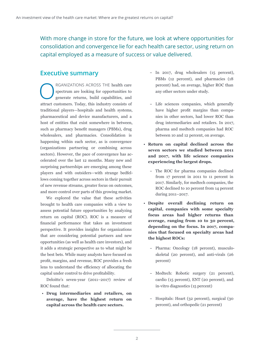With more change in store for the future, we look at where opportunities for consolidation and convergence lie for each health care sector, using return on capital employed as a measure of success or value delivered.

## **Executive summary**

RGANIZATIONS ACROSS THE health care<br>spectrum are looking for opportunities to<br>generate returns, build capabilities, and spectrum are looking for opportunities to generate returns, build capabilities, and attract customers. Today, this industry consists of traditional players—hospitals and health systems, pharmaceutical and device manufacturers, and a host of entities that exist somewhere in between, such as pharmacy benefit managers (PBMs), drug wholesalers, and pharmacies. Consolidation is happening within each sector, as is convergence (organizations partnering or combining across sectors). However, the pace of convergence has accelerated over the last 12 months. Many new and surprising partnerships are emerging among these players and with outsiders—with strange bedfellows coming together across sectors in their pursuit of new revenue streams, greater focus on outcomes, and more control over parts of this growing market.

We explored the value that these activities brought to health care companies with a view to assess potential future opportunities by analyzing return on capital (ROC). ROC is a measure of financial performance that takes an investment perspective. It provides insights for organizations that are considering potential partners and new opportunities (as well as health care investors), and it adds a strategic perspective as to what might be the best bets. While many analysts have focused on profit, margins, and revenue, ROC provides a fresh lens to understand the efficiency of allocating the capital under control to drive profitability.

Deloitte's seven-year (2011–2017) review of ROC found that:

• **Drug intermediaries and retailers, on average, have the highest return on capital across the health care sectors.**

- In 2017, drug wholesalers (15 percent), PBMs (12 percent), and pharmacies (18 percent) had, on average, higher ROC than any other sectors under study.
- Life sciences companies, which generally have higher profit margins than companies in other sectors, had lower ROC than drug intermediaries and retailers. In 2017, pharma and medtech companies had ROC between 10 and 12 percent, on average.
- **Return on capital declined across the seven sectors we studied between 2011 and 2017, with life science companies experiencing the largest drops.**
	- The ROC for pharma companies declined from 17 percent in 2011 to 11 percent in 2017. Similarly, for medtech companies, the ROC declined to 10 percent from 14 percent during 2011–2017.
- **Despite overall declining return on capital, companies with some specialty focus areas had higher returns than average, ranging from 10 to 30 percent, depending on the focus. In 2017, companies that focused on specialty areas had the highest ROCs:** 
	- Pharma: Oncology (18 percent), musculoskeletal (20 percent), and anti-virals (26 percent)
	- Medtech: Robotic surgery (21 percent), cardio (15 percent), ENT (20 percent), and in-vitro diagnostics (15 percent)
	- Hospitals: Heart (32 percent), surgical (30 percent), and orthopedic (21 percent)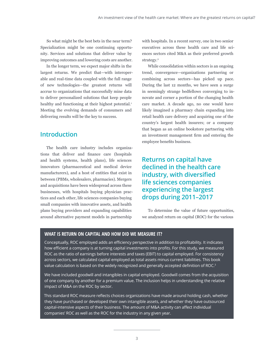So what might be the best bets in the near term? Specialization might be one continuing opportunity. Services and solutions that deliver value by improving outcomes and lowering costs are another.

In the longer term, we expect major shifts in the largest returns. We predict that—with interoperable and real-time data coupled with the full range of new technologies—the greatest returns will accrue to organizations that successfully mine data to deliver personalized solutions that keep people healthy and functioning at their highest potential.<sup>1</sup> Meeting the evolving demands of consumers and delivering results will be the key to success.

## **Introduction**

The health care industry includes organizations that deliver and finance care (hospitals and health systems, health plans), life sciences innovators (pharmaceutical and medical device manufacturers), and a host of entities that exist in between (PBMs, wholesalers, pharmacies). Mergers and acquisitions have been widespread across these businesses, with hospitals buying physician practices and each other, life sciences companies buying small companies with innovative assets, and health plans buying providers and expanding capabilities around alternative payment models in partnership

with hospitals. In a recent survey, one in two senior executives across these health care and life sciences sectors cited M&A as their preferred growth strategy.<sup>2</sup>

While consolidation within sectors is an ongoing trend, convergence—organizations partnering or combining across sectors—has picked up pace. During the last 12 months, we have seen a surge in seemingly strange bedfellows converging to innovate and corner a portion of the changing health care market. A decade ago, no one would have likely imagined a pharmacy chain expanding into retail health care delivery and acquiring one of the country's largest health insurers; or a company that began as an online bookstore partnering with an investment management firm and entering the employee benefits business.

## **Returns on capital have declined in the health care industry, with diversified life sciences companies experiencing the largest drops during 2011–2017**

To determine the value of future opportunities, we analyzed return on capital (ROC) for the various

### **WHAT IS RETURN ON CAPITAL AND HOW DID WE MEASURE IT?**

Conceptually, ROC employed adds an efficiency perspective in addition to profitability. It indicates how efficient a company is at turning capital investments into profits. For this study, we measured ROC as the ratio of earnings before interests and taxes (EBIT) to capital employed. For consistency across sectors, we calculated capital employed as total assets minus current liabilities. This book value calculation is based on the widely recognized and generally accepted definition of ROC.<sup>3</sup>

We have included goodwill and intangibles in capital employed. Goodwill comes from the acquisition of one company by another for a premium value. The inclusion helps in understanding the relative impact of M&A on the ROC by sector.

This standard ROC measure reflects choices organizations have made around holding cash, whether they have purchased or developed their own intangible assets, and whether they have outsourced capital-intensive aspects of their business. The amount of M&A activity can affect individual companies' ROC as well as the ROC for the industry in any given year.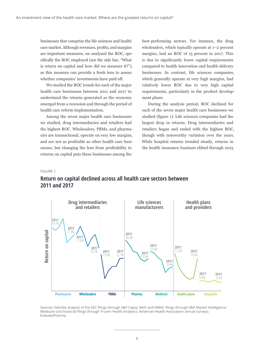businesses that comprise the life sciences and health care market. Although revenues, profits, and margins are important measures, we analyzed the ROC, specifically the ROC employed (see the side bar, "What is return on capital and how did we measure it?"), as this measure can provide a fresh lens to assess whether companies' investments have paid off.

We studied the ROC trends for each of the major health care businesses between 2011 and 2017 to understand the returns generated as the economy emerged from a recession and through the period of health care reform implementation.

Among the seven major health care businesses we studied, drug intermediaries and retailers had the highest ROC. Wholesalers, PBMs, and pharmacies are transactional, operate on very low margins, and are not as profitable as other health care businesses, but changing the lens from profitability to returns on capital puts these businesses among the

best-performing sectors. For instance, the drug wholesalers, which typically operate at 1–2 percent margins, had an ROC of 15 percent in 2017. This is due to significantly lower capital requirements compared to health innovation and health delivery businesses. In contrast, life sciences companies, which generally operate at very high margins, had relatively lower ROC due to very high capital requirements, particularly in the product development phase.

During the analysis period, ROC declined for each of the seven major health care businesses we studied (figure 1). Life sciences companies had the largest drop in returns. Drug intermediaries and retailers began and ended with the highest ROC, though with noteworthy variation over the years. While hospital returns trended steady, returns in the health insurance business ebbed through 2015

#### FIGURE 1



## **Return on capital declined across all health care sectors between 2011 and 2017**

Sources: Deloitte analysis of the SEC filings through S&P Capiq; NAIC and DMHC filings through S&P Market Intelligence; Medicare cost financial filings through Truven Health Analytics; American Health Association annual surveys; EvaluatePharma.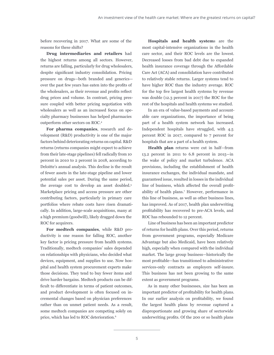before recovering in 2017. What are some of the reasons for these shifts?

**Drug intermediaries and retailers** had the highest returns among all sectors. However, returns are falling, particularly for drug wholesalers, despite significant industry consolidation. Pricing pressure on drugs—both branded and generics over the past few years has eaten into the profits of the wholesalers, as their revenue and profits reflect drug prices and volume. In contrast, pricing pressure coupled with better pricing negotiation with wholesalers as well as an increased focus on specialty pharmacy businesses has helped pharmacies outperform other sectors on ROC.4

**For pharma companies**, research and development (R&D) productivity is one of the major factors behind deteriorating returns on capital. R&D returns (returns companies might expect to achieve from their late-stage pipelines) fell radically from 10 percent in 2010 to 2 percent in 2018, according to Deloitte's annual analysis. This decline is the result of fewer assets in the late-stage pipeline and lower potential sales per asset. During the same period, the average cost to develop an asset doubled.<sup>5</sup> Marketplace pricing and access pressure are other contributing factors, particularly in primary care portfolios where rebate costs have risen dramatically. In addition, large-scale acquisitions, many at a high premium (goodwill), likely dragged down the ROC for acquirers.

**For medtech companies**, while R&D productivity is one reason for falling ROC, another key factor is pricing pressure from health systems. Traditionally, medtech companies' sales depended on relationships with physicians, who decided what devices, equipment, and supplies to use. Now hospital and health system procurement experts make those decisions. They tend to buy fewer items and drive harder bargains. Medtech products can be difficult to differentiate in terms of patient outcomes, and product development is often focused on incremental changes based on physician preferences rather than on unmet patient needs. As a result, some medtech companies are competing solely on price, which has led to ROC deterioration.6

**Hospitals and health system**s are the most capital-intensive organizations in the health care sector, and their ROC levels are the lowest. Decreased losses from bad debt due to expanded health insurance coverage through the Affordable Care Act (ACA) and consolidation have contributed to relatively stable returns. Larger systems tend to have higher ROC than the industry average. ROC for the top five largest health systems by revenue was double (12.3 percent in 2017) the ROC for the rest of the hospitals and health systems we studied.

In an era of value-based payments and accountable care organizations, the importance of being part of a health system network has increased. Independent hospitals have struggled, with 4.5 percent ROC in 2017, compared to 7 percent for hospitals that are a part of a health system.

**Health plan** returns were cut in half—from 13.2 percent in 2011 to 6.8 percent in 2015—in the wake of policy and market turbulence. ACA provisions, including the establishment of health insurance exchanges, the individual mandate, and guaranteed issue, resulted in losses in the individual line of business, which affected the overall profitability of health plans.<sup>7</sup> However, performance in this line of business, as well as other business lines, has improved. As of 2017, health plan underwriting profitability has recovered to pre-ACA levels, and ROC has rebounded to 12 percent.

Line of business has been an important predictor of returns for health plans. Over this period, returns from government programs, especially Medicare Advantage but also Medicaid, have been relatively high, especially when compared with the individual market. The large group business—historically the most profitable—has transitioned to administrative services-only contracts as employers self-insure. This business has not been growing to the same extent as government programs.

As in many other businesses, size has been an important predictor of profitability for health plans. In our earlier analysis on profitability, we found the largest health plans by revenue captured a disproportionate and growing share of sectorwide underwriting profits. Of the 200 or so health plans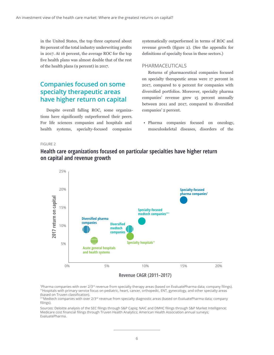in the United States, the top three captured about 80 percent of the total industry underwriting profits in 2017. At 16 percent, the average ROC for the top five health plans was almost double that of the rest of the health plans (9 percent) in 2017.

## **Companies focused on some specialty therapeutic areas have higher return on capital**

Despite overall falling ROC, some organizations have significantly outperformed their peers. For life sciences companies and hospitals and health systems, specialty-focused companies

systematically outperformed in terms of ROC and revenue growth (figure 2). (See the appendix for definitions of specialty focus in these sectors.)

### PHARMACEUTICALS

Returns of pharmaceutical companies focused on specialty therapeutic areas were 17 percent in 2017, compared to 9 percent for companies with diversified portfolios. Moreover, specialty pharma companies' revenue grew 15 percent annually between 2011 and 2017, compared to diversified companies' 2 percent.

• Pharma companies focused on oncology, musculoskeletal diseases, disorders of the

#### FIGURE 2



## **Health care organizations focused on particular specialties have higher return on capital and revenue growth**

### **Revenue CAGR (2011–2017)**

† Pharma companies with over 2/3rd revenue from specialty therapy areas (based on EvaluatePharma data; company filings). ††Hospitals with primary service focus on pediatric, heart, cancer, orthopedic, ENT, gynecology, and other specialty areas (based on Truven classification).

<sup>†††</sup>Medtech companies with over 2/3<sup>rd</sup> revenue from specialty diagnostic areas (based on EvaluatePharma data; company filings).

Sources: Deloitte analysis of the SEC filings through S&P Capiq; NAIC and DMHC filings through S&P Market Intelligence; Medicare cost financial filings through Truven Health Analytics; American Health Association annual surveys; EvaluatePharma.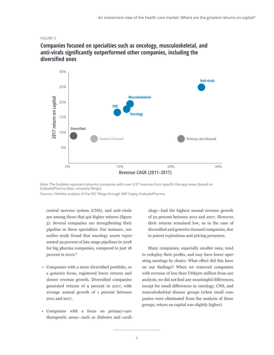#### FIGURE 3



## **Companies focused on specialties such as oncology, musculoskeletal, and anti-virals significantly outperformed other companies, including the diversified ones**

Note: The bubbles represent pharma companies with over 2/3<sup>rd</sup> revenue from specific therapy areas (based on EvaluatePharma data; company filings).

Sources: Deloitte analysis of the SEC filings through S&P Capiq; EvaluatePharma.

central nervous system (CNS), and anti-virals are among those that got higher returns (figure 3). Several companies are strengthening their pipeline in these specialties. For instance, our earlier study found that oncology assets represented 39 percent of late-stage pipelines in 2018 for big pharma companies, compared to just 18 percent in 2010.<sup>8</sup>

- Companies with a more diversified portfolio, or a generics focus, registered lower returns and slower revenue growth. Diversified companies generated returns of 9 percent in 2017, with average annual growth of 1 percent between 2011 and 2017.
- Companies with a focus on primary-care therapeutic areas—such as diabetes and cardi-

ology—had the highest annual revenue growth of 22 percent between 2011 and 2017. However, their returns remained low, as in the case of diversified and generics-focused companies, due to patent expirations and pricing pressures.

Many companies, especially smaller ones, tend to redeploy their profits, and may have lower operating earnings by choice. What effect did this have on our findings? When we removed companies with revenue of less than US\$500 million from our analysis, we did not find any meaningful differences, except for small differences in oncology, CNS, and musculoskeletal disease groups (when small companies were eliminated from the analysis of these groups, return on capital was slightly higher).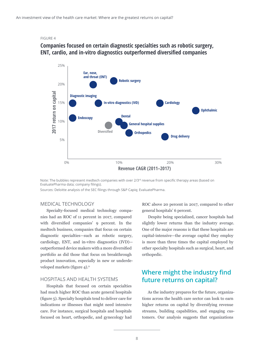#### FIGURE 4

## **Companies focused on certain diagnostic specialties such as robotic surgery, ENT, cardio, and in-vitro diagnostics outperformed diversified companies**



Note: The bubbles represent medtech companies with over 2/3<sup>rd</sup> revenue from specific therapy areas (based on EvaluatePharma data; company filings).

Sources: Deloitte analysis of the SEC filings through S&P Capiq; EvaluatePharma.

### MEDICAL TECHNOLOGY

Specialty-focused medical technology companies had an ROC of 11 percent in 2017, compared with diversified companies' 9 percent. In the medtech business, companies that focus on certain diagnostic specialties—such as robotic surgery, cardiology, ENT, and in-vitro diagnostics (IVD) outperformed device makers with a more diversified portfolio as did those that focus on breakthrough product innovation, especially in new or underdeveloped markets (figure 4).9

## HOSPITALS AND HEALTH SYSTEMS

Hospitals that focused on certain specialties had much higher ROC than acute general hospitals (figure 5). Specialty hospitals tend to deliver care for indications or illnesses that might need intensive care. For instance, surgical hospitals and hospitals focused on heart, orthopedic, and gynecology had

ROC above 20 percent in 2017, compared to other general hospitals' 6 percent.

Despite being specialized, cancer hospitals had slightly lower returns than the industry average. One of the major reasons is that these hospitals are capital-intensive—the average capital they employ is more than three times the capital employed by other specialty hospitals such as surgical, heart, and orthopedic.

## **Where might the industry find future returns on capital?**

As the industry prepares for the future, organizations across the health care sector can look to earn higher returns on capital by diversifying revenue streams, building capabilities, and engaging customers. Our analysis suggests that organizations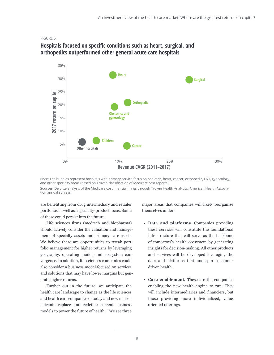#### FIGURE 5



## **Hospitals focused on specific conditions such as heart, surgical, and orthopedics outperformed other general acute care hospitals**

Note: The bubbles represent hospitals with primary service focus on pediatric, heart, cancer, orthopedic, ENT, gynecology, and other specialty areas (based on Truven classification of Medicare cost reports). Sources: Deloitte analysis of the Medicare cost financial filings through Truven Health Analytics; American Health Association annual surveys.

are benefitting from drug intermediary and retailer portfolios as well as a specialty-product focus. Some of these could persist into the future.

Life sciences firms (medtech and biopharma) should actively consider the valuation and management of specialty assets and primary care assets. We believe there are opportunities to tweak portfolio management for higher returns by leveraging geography, operating model, and ecosystem convergence. In addition, life sciences companies could also consider a business model focused on services and solutions that may have lower margins but generate higher returns.

Further out in the future, we anticipate the health care landscape to change as the life sciences and health care companies of today and new market entrants replace and redefine current business models to power the future of health.<sup>10</sup> We see three

major areas that companies will likely reorganize themselves under:

- **Data and platforms**. Companies providing these services will constitute the foundational infrastructure that will serve as the backbone of tomorrow's health ecosystem by generating insights for decision-making. All other products and services will be developed leveraging the data and platforms that underpin consumerdriven health.
- **Care enablement.** These are the companies enabling the new health engine to run. They will include intermediaries and financiers, but those providing more individualized, valueoriented offerings.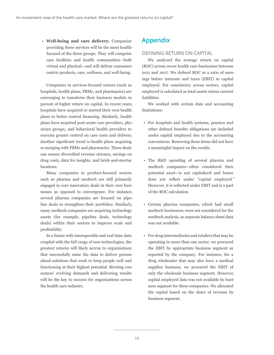• **Well-being and care delivery.** Companies providing these services will be the most healthfocused of the three groups. They will comprise care facilities and health communities—both virtual and physical—and will deliver consumercentric products, care, wellness, and well-being.

Companies in services-focused sectors (such as hospitals, health plans, PBMs, and pharmacies) are converging to transform their business models in pursuit of higher return on capital. In recent years, hospitals have acquired or started their own health plans to better control financing. Similarly, health plans have acquired post-acute care providers, physician groups, and behavioral health providers to exercise greater control on care costs and delivery. Another significant trend is health plans acquiring or merging with PBMs and pharmacies. These deals can ensure diversified revenue streams, savings on drug costs, data for insights, and brick-and-mortar locations.

Many companies in product-focused sectors such as pharma and medtech are still primarily engaged in core innovation deals in their own businesses as opposed to convergence. For instance, several pharma companies are focused on pipeline deals to strengthen their portfolios. Similarly, many medtech companies are acquiring technology assets (for example, pipeline deals, technology deals) within their sectors to improve scale and profitability.

In a future with interoperable and real-time data coupled with the full range of new technologies, the greatest returns will likely accrue to organizations that successfully mine the data to deliver personalized solutions that work to keep people well and functioning at their highest potential. Meeting consumers' evolving demands and delivering results will be the key to success for organizations across the health care industry.

## **Appendix**

### DEFINING RETURN ON CAPITAL

We analyzed the average return on capital (ROC) across seven health care businesses between 2011 and 2017. We defined ROC as a ratio of earnings before interests and taxes (EBIT) to capital employed. For consistency across sectors, capital employed is calculated as total assets minus current liabilities.

We worked with certain data and accounting limitations:

- For hospitals and health systems, pension and other defined benefits obligations are included under capital employed due to the accounting conventions. Removing these items did not have a meaningful impact on the results.
- The R&D spending of several pharma and medtech companies—often considered their potential asset—is not capitalized and hence does not reflect under "capital employed." However, it is reflected under EBIT and is a part of the ROC calculation.
- Certain pharma companies, which had small medtech businesses, were not considered for the medtech analysis, as separate balance sheet data was not available.
- For drug intermediaries and retailers that may be operating in more than one sector, we procured the EBIT by appropriate business segment as reported by the company. For instance, for a drug wholesaler that may also have a medical supplies business, we procured the EBIT of only the wholesale business segment. However, capital employed data was not available by business segment for these companies. We allocated the capital based on the share of revenue by business segment.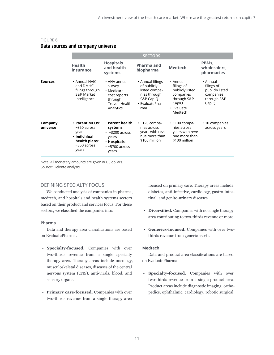|                     |                                                                                                     | <b>SECTORS</b>                                                                                                |                                                                                                        |                                                                                                         |                                                                                |  |
|---------------------|-----------------------------------------------------------------------------------------------------|---------------------------------------------------------------------------------------------------------------|--------------------------------------------------------------------------------------------------------|---------------------------------------------------------------------------------------------------------|--------------------------------------------------------------------------------|--|
|                     | <b>Health</b><br>insurance                                                                          | <b>Hospitals</b><br>and health<br>systems                                                                     | Pharma and<br>biopharma                                                                                | <b>Medtech</b>                                                                                          | PBMs,<br>wholesalers,<br>pharmacies                                            |  |
| <b>Sources</b>      | • Annual NAIC<br>and DMHC<br>filings through<br><b>S&amp;P Market</b><br>Intelligence               | • AHA annual<br>survey<br>• Medicare<br>cost reports<br>through<br>Truven Health<br>Analytics                 | • Annual filings<br>of publicly<br>listed compa-<br>nies through<br>S&P CapIQ<br>· EvaluatePha-<br>rma | • Annual<br>filings of<br>publicly listed<br>companies<br>through S&P<br>CapIQ<br>• Evaluate<br>Medtech | • Annual<br>filings of<br>publicly listed<br>companies<br>through S&P<br>CapIQ |  |
| Company<br>universe | • Parent MCOs:<br>$~550$ across<br>years<br>· Individual<br>health plans:<br>$~850$ across<br>years | • Parent health<br>systems:<br>$\cdot$ ~3200 across<br>years<br>· Hospitals:<br>$\cdot$ ~5700 across<br>years | $\cdot$ ~120 compa-<br>nies across<br>years with reve-<br>nue more than<br>\$100 million               | $\cdot$ ~100 compa-<br>nies across<br>years with reve-<br>nue more than<br>\$100 million                | • 10 companies<br>across years                                                 |  |

## FIGURE 6 **Data sources and company universe**

Note: All monetary amounts are given in US dollars. Source: Deloitte analysis.

## DEFINING SPECIALTY FOCUS

We conducted analysis of companies in pharma, medtech, and hospitals and health systems sectors based on their product and services focus. For these sectors, we classified the companies into:

### **Pharma**

Data and therapy area classifications are based on EvaluatePharma.

- **Specialty-focused.** Companies with over two-thirds revenue from a single specialty therapy area. Therapy areas include oncology, musculoskeletal diseases, diseases of the central nervous system (CNS), anti-virals, blood, and sensory organs.
- **Primary care-focused.** Companies with over two-thirds revenue from a single therapy area

focused on primary care. Therapy areas include diabetes, anti-infective, cardiology, gastro-intestinal, and genito-urinary diseases.

- **Diversified.** Companies with no single therapy area contributing to two-thirds revenue or more.
- **Generics-focused.** Companies with over twothirds revenue from generic assets.

#### **Medtech**

Data and product area classifications are based on EvaluatePharma.

• **Specialty-focused.** Companies with over two-thirds revenue from a single product area. Product areas include diagnostic imaging, orthopedics, ophthalmic, cardiology, robotic surgical,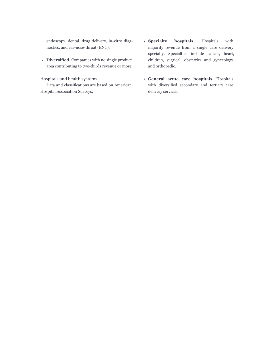endoscopy, dental, drug delivery, in-vitro diagnostics, and ear-nose-throat (ENT).

• **Diversified.** Companies with no single product area contributing to two-thirds revenue or more.

## **Hospitals and health systems**

Data and classifications are based on American Hospital Association Surveys.

- **Specialty hospitals.** Hospitals with majority revenue from a single care delivery specialty. Specialties include cancer, heart, children, surgical, obstetrics and gynecology, and orthopedic.
- **General acute care hospitals.** Hospitals with diversified secondary and tertiary care delivery services.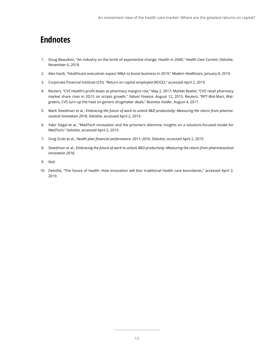## **Endnotes**

- 1. Doug Beaudoin, "An industry on the brink of exponential change: Health in 2040," *Health Care Current*, Deloitte, November 6, 2018.
- 2. Alex Kacik, "Healthcare executives expect M&A to boost business in 2019," *Modern Healthcare*, January 8, 2019.
- 3. Corporate Financial Institute (CFI), "Return on capital employed (ROCE)," accessed April 2, 2019.
- 4. Reuters, "CVS Health's profit beats as pharmacy margins rise," May 2, 2017; Market Realist, "CVS' retail pharmacy market share rises in 2Q15 on scripts growth," *Yahoo! Finance*, August 12, 2015; Reuters, "RPT-Wal-Mart, Walgreens, CVS turn up the heat on generic drugmaker deals," *Business Insider*, August 4, 2017.
- 5. Mark Steedman et al., *Embracing the future of work to unlock R&D productivity: Measuring the return from pharmaceutical innovation 2018*, Deloitte, accessed April 2, 2019.
- 6. Yakir Siegal et al., "MedTech innovation and the prisoner's dilemma: Insights on a solutions-focused model for MedTech," Deloitte, accessed April 2, 2019.
- 7. Greg Scott et al., *Health plan financial performance: 2011–2016*, Deloitte, accessed April 2, 2019.
- 8. Steedman et al., *Embracing the future of work to unlock R&D productivity: Measuring the return from pharmaceutical innovation 2018*.
- 9. Ibid.
- 10. Deloitte, "The future of health: How innovation will blur traditional health care boundaries," accessed April 2, 2019.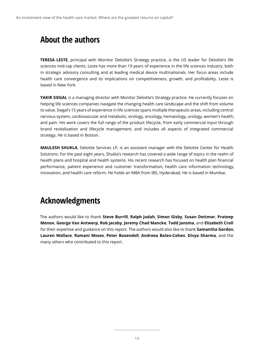## **About the authors**

**TERESA LESTE**, principal with Monitor Deloitte's Strategy practice, is the US leader for Deloitte's life sciences mid-cap clients. Leste has more than 19 years of experience in the life sciences industry, both in strategic advisory consulting and at leading medical device multinationals. Her focus areas include health care convergence and its implications on competitiveness, growth, and profitability. Leste is based in New York.

**YAKIR SIEGAL** is a managing director with Monitor Deloitte's Strategy practice. He currently focuses on helping life sciences companies navigate the changing health care landscape and the shift from volume to value. Siegal's 15 years of experience in life sciences spans multiple therapeutic areas, including central nervous system, cardiovascular and metabolic, virology, oncology, hematology, urology, women's health, and pain. His work covers the full range of the product lifecycle, from early commercial input through brand revitalization and lifecycle management, and includes all aspects of integrated commercial strategy. He is based in Boston.

**MAULESH SHUKLA**, Deloitte Services LP, is an assistant manager with the Deloitte Center for Health Solutions. For the past eight years, Shukla's research has covered a wide range of topics in the realm of health plans and hospital and health systems. His recent research has focused on health plan financial performance, patient experience and customer transformation, health care information technology, innovation, and health care reform. He holds an MBA from IBS, Hyderabad. He is based in Mumbai.

## **Acknowledgments**

The authors would like to thank **Steve Burrill**, **Ralph Judah**, **Simon Gisby**, **Susan Dettmar**, **Prateep Menon**, **George Van Antwerp**, **Rob Jacoby**, **Jeremy Chad Mancke**, **Todd Jansma**, and **Elizabeth Croll**  for their expertise and guidance on this report. The authors would also like to thank **Samantha Gordon**, **Lauren Wallace**, **Ramani Moses**, **Peter Baxendell**, **Andreea Balan-Cohen**, **Divya Sharma**, and the many others who contributed to this report.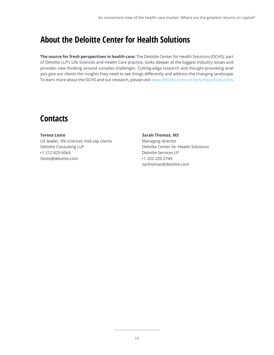## **About the Deloitte Center for Health Solutions**

**The source for fresh perspectives in health care:** The Deloitte Center for Health Solutions (DCHS), part of Deloitte LLP's Life Sciences and Health Care practice, looks deeper at the biggest industry issues and provides new thinking around complex challenges. Cutting-edge research and thought-provoking analysis give our clients the insights they need to see things differently and address the changing landscape. To learn more about the DCHS and our research, please visit [www.deloitte.com/centerforhealthsolutions](http://www.deloitte.com/centerforhealthsolutions).

## **Contacts**

**Teresa Leste** US leader, life sciences mid-cap clients Deloitte Consulting LLP +1 212 829 6064 tleste@deloitte.com

## **Sarah Thomas, MS** Managing director Deloitte Center for Health Solutions Deloitte Services LP +1 202 220 2749 sarthomas@deloitte.com

**15**